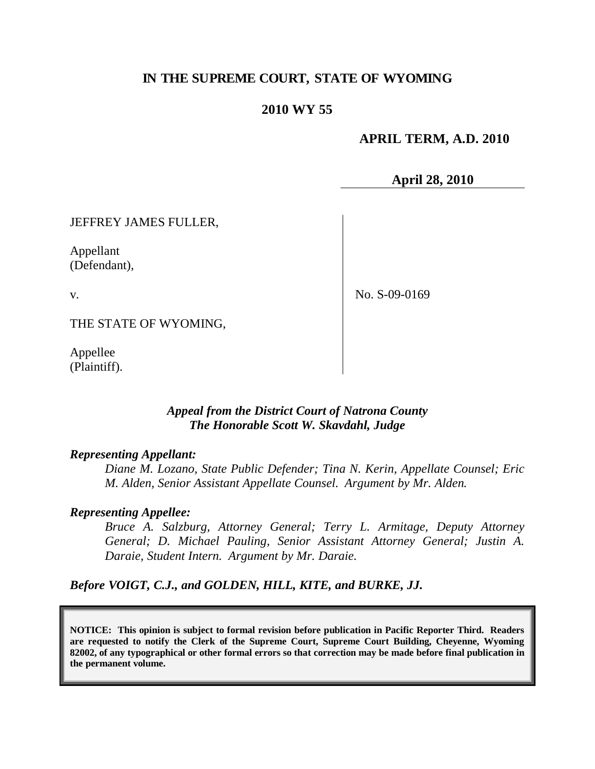# **IN THE SUPREME COURT, STATE OF WYOMING**

## **2010 WY 55**

### **APRIL TERM, A.D. 2010**

**April 28, 2010**

JEFFREY JAMES FULLER,

Appellant (Defendant),

v.

No. S-09-0169

THE STATE OF WYOMING,

Appellee (Plaintiff).

### *Appeal from the District Court of Natrona County The Honorable Scott W. Skavdahl, Judge*

#### *Representing Appellant:*

*Diane M. Lozano, State Public Defender; Tina N. Kerin, Appellate Counsel; Eric M. Alden, Senior Assistant Appellate Counsel. Argument by Mr. Alden.*

#### *Representing Appellee:*

*Bruce A. Salzburg, Attorney General; Terry L. Armitage, Deputy Attorney General; D. Michael Pauling, Senior Assistant Attorney General; Justin A. Daraie, Student Intern. Argument by Mr. Daraie.*

*Before VOIGT, C.J., and GOLDEN, HILL, KITE, and BURKE, JJ.*

**NOTICE: This opinion is subject to formal revision before publication in Pacific Reporter Third. Readers are requested to notify the Clerk of the Supreme Court, Supreme Court Building, Cheyenne, Wyoming 82002, of any typographical or other formal errors so that correction may be made before final publication in the permanent volume.**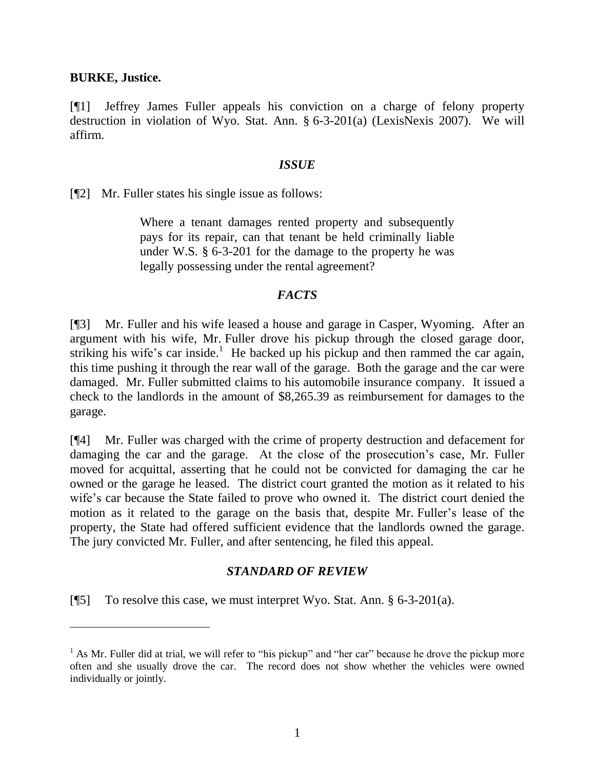#### **BURKE, Justice.**

 $\overline{a}$ 

[¶1] Jeffrey James Fuller appeals his conviction on a charge of felony property destruction in violation of Wyo. Stat. Ann. § 6-3-201(a) (LexisNexis 2007). We will affirm.

#### *ISSUE*

[¶2] Mr. Fuller states his single issue as follows:

Where a tenant damages rented property and subsequently pays for its repair, can that tenant be held criminally liable under W.S. § 6-3-201 for the damage to the property he was legally possessing under the rental agreement?

### *FACTS*

[¶3] Mr. Fuller and his wife leased a house and garage in Casper, Wyoming. After an argument with his wife, Mr. Fuller drove his pickup through the closed garage door, striking his wife's car inside.<sup>1</sup> He backed up his pickup and then rammed the car again, this time pushing it through the rear wall of the garage. Both the garage and the car were damaged. Mr. Fuller submitted claims to his automobile insurance company. It issued a check to the landlords in the amount of \$8,265.39 as reimbursement for damages to the garage.

[¶4] Mr. Fuller was charged with the crime of property destruction and defacement for damaging the car and the garage. At the close of the prosecution"s case, Mr. Fuller moved for acquittal, asserting that he could not be convicted for damaging the car he owned or the garage he leased. The district court granted the motion as it related to his wife's car because the State failed to prove who owned it. The district court denied the motion as it related to the garage on the basis that, despite Mr. Fuller"s lease of the property, the State had offered sufficient evidence that the landlords owned the garage. The jury convicted Mr. Fuller, and after sentencing, he filed this appeal.

### *STANDARD OF REVIEW*

[ $\llbracket 5 \rrbracket$  To resolve this case, we must interpret Wyo. Stat. Ann. § 6-3-201(a).

 $<sup>1</sup>$  As Mr. Fuller did at trial, we will refer to "his pickup" and "her car" because he drove the pickup more</sup> often and she usually drove the car. The record does not show whether the vehicles were owned individually or jointly.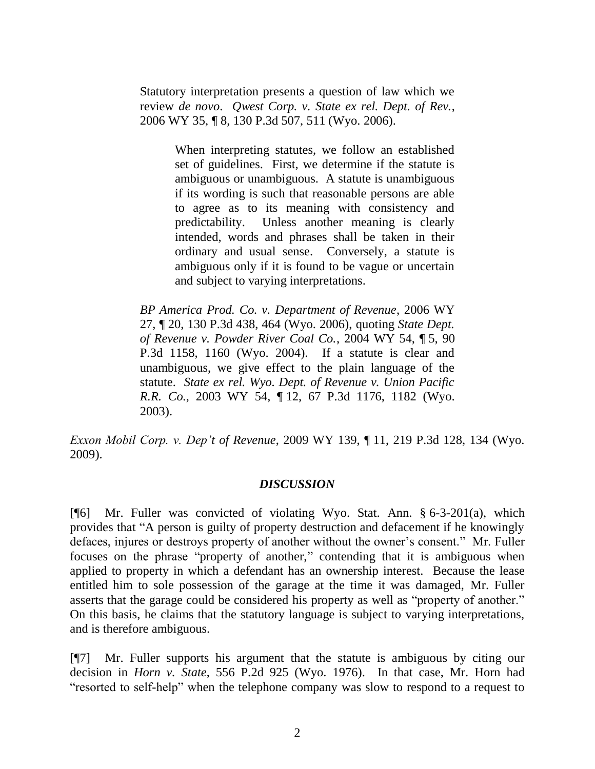Statutory interpretation presents a question of law which we review *de novo*. *Qwest Corp. v. State ex rel. Dept. of Rev.*, 2006 WY 35, ¶ 8, 130 P.3d 507, 511 (Wyo. 2006).

> When interpreting statutes, we follow an established set of guidelines. First, we determine if the statute is ambiguous or unambiguous. A statute is unambiguous if its wording is such that reasonable persons are able to agree as to its meaning with consistency and predictability. Unless another meaning is clearly intended, words and phrases shall be taken in their ordinary and usual sense. Conversely, a statute is ambiguous only if it is found to be vague or uncertain and subject to varying interpretations.

*BP America Prod. Co. v. Department of Revenue*, 2006 WY 27, ¶ 20, 130 P.3d 438, 464 (Wyo. 2006), quoting *State Dept. of Revenue v. Powder River Coal Co.*, 2004 WY 54, ¶ 5, 90 P.3d 1158, 1160 (Wyo. 2004). If a statute is clear and unambiguous, we give effect to the plain language of the statute. *State ex rel. Wyo. Dept. of Revenue v. Union Pacific R.R. Co.*, 2003 WY 54, ¶ 12, 67 P.3d 1176, 1182 (Wyo. 2003).

*Exxon Mobil Corp. v. Dep't of Revenue*, 2009 WY 139, ¶ 11, 219 P.3d 128, 134 (Wyo. 2009).

### *DISCUSSION*

[¶6] Mr. Fuller was convicted of violating Wyo. Stat. Ann. § 6-3-201(a), which provides that "A person is guilty of property destruction and defacement if he knowingly defaces, injures or destroys property of another without the owner"s consent." Mr. Fuller focuses on the phrase "property of another," contending that it is ambiguous when applied to property in which a defendant has an ownership interest. Because the lease entitled him to sole possession of the garage at the time it was damaged, Mr. Fuller asserts that the garage could be considered his property as well as "property of another." On this basis, he claims that the statutory language is subject to varying interpretations, and is therefore ambiguous.

[¶7] Mr. Fuller supports his argument that the statute is ambiguous by citing our decision in *Horn v. State*, 556 P.2d 925 (Wyo. 1976). In that case, Mr. Horn had "resorted to self-help" when the telephone company was slow to respond to a request to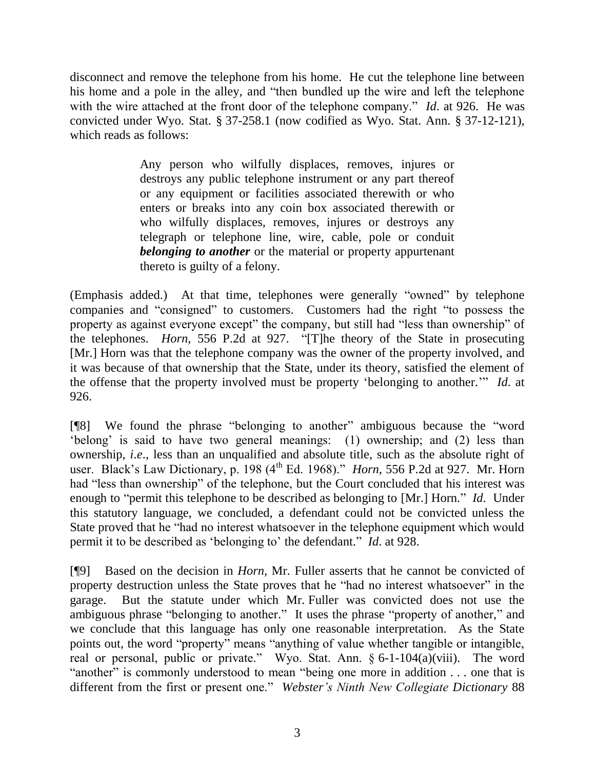disconnect and remove the telephone from his home. He cut the telephone line between his home and a pole in the alley, and "then bundled up the wire and left the telephone with the wire attached at the front door of the telephone company." *Id*. at 926. He was convicted under Wyo. Stat. § 37-258.1 (now codified as Wyo. Stat. Ann. § 37-12-121), which reads as follows:

> Any person who wilfully displaces, removes, injures or destroys any public telephone instrument or any part thereof or any equipment or facilities associated therewith or who enters or breaks into any coin box associated therewith or who wilfully displaces, removes, injures or destroys any telegraph or telephone line, wire, cable, pole or conduit *belonging to another* or the material or property appurtenant thereto is guilty of a felony.

(Emphasis added.) At that time, telephones were generally "owned" by telephone companies and "consigned" to customers. Customers had the right "to possess the property as against everyone except" the company, but still had "less than ownership" of the telephones. *Horn*, 556 P.2d at 927. "[T]he theory of the State in prosecuting [Mr.] Horn was that the telephone company was the owner of the property involved, and it was because of that ownership that the State, under its theory, satisfied the element of the offense that the property involved must be property "belonging to another."" *Id*. at 926.

[¶8] We found the phrase "belonging to another" ambiguous because the "word "belong" is said to have two general meanings: (1) ownership; and (2) less than ownership, *i*.*e*., less than an unqualified and absolute title, such as the absolute right of user. Black's Law Dictionary, p. 198 (4<sup>th</sup> Ed. 1968)." *Horn*, 556 P.2d at 927. Mr. Horn had "less than ownership" of the telephone, but the Court concluded that his interest was enough to "permit this telephone to be described as belonging to [Mr.] Horn." *Id*. Under this statutory language, we concluded, a defendant could not be convicted unless the State proved that he "had no interest whatsoever in the telephone equipment which would permit it to be described as "belonging to" the defendant." *Id*. at 928.

[¶9] Based on the decision in *Horn*, Mr. Fuller asserts that he cannot be convicted of property destruction unless the State proves that he "had no interest whatsoever" in the garage. But the statute under which Mr. Fuller was convicted does not use the ambiguous phrase "belonging to another." It uses the phrase "property of another," and we conclude that this language has only one reasonable interpretation. As the State points out, the word "property" means "anything of value whether tangible or intangible, real or personal, public or private." Wyo. Stat. Ann. § 6-1-104(a)(viii). The word "another" is commonly understood to mean "being one more in addition . . . one that is different from the first or present one." *Webster's Ninth New Collegiate Dictionary* 88